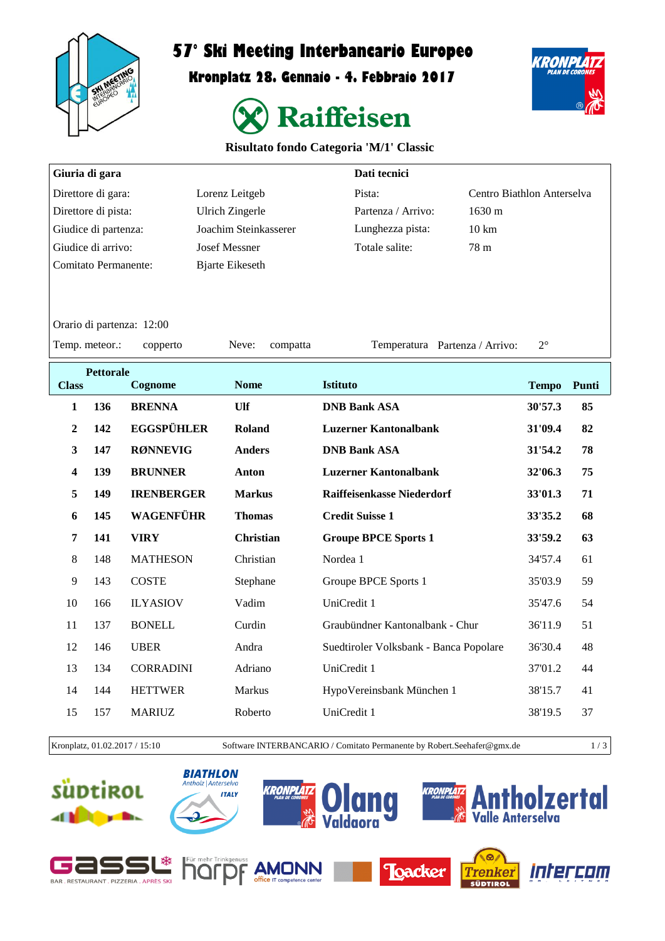

## **57° Ski Meeting Interbancario Europeo**

**Kronplatz 28. Gennaio - 4. Febbraio 2017**



KRONPL

## **Risultato fondo Categoria 'M/1' Classic**

| Dati tecnici<br>Giuria di gara                                                                   |                  |                           |                       |                    |                                        |                            |              |       |
|--------------------------------------------------------------------------------------------------|------------------|---------------------------|-----------------------|--------------------|----------------------------------------|----------------------------|--------------|-------|
| Direttore di gara:                                                                               |                  | Lorenz Leitgeb            |                       | Pista:             |                                        | Centro Biathlon Anterselva |              |       |
| Direttore di pista:                                                                              |                  | <b>Ulrich Zingerle</b>    |                       | Partenza / Arrivo: | 1630 m                                 |                            |              |       |
| Giudice di partenza:                                                                             |                  |                           | Joachim Steinkasserer |                    | Lunghezza pista:                       | $10 \text{ km}$            |              |       |
| Giudice di arrivo:                                                                               |                  |                           | <b>Josef Messner</b>  |                    | Totale salite:                         | 78 m                       |              |       |
| <b>Comitato Permanente:</b><br><b>Bjarte Eikeseth</b>                                            |                  |                           |                       |                    |                                        |                            |              |       |
|                                                                                                  |                  |                           |                       |                    |                                        |                            |              |       |
|                                                                                                  |                  | Orario di partenza: 12:00 |                       |                    |                                        |                            |              |       |
| Temp. meteor.:<br>$2^{\circ}$<br>Neve:<br>Temperatura Partenza / Arrivo:<br>copperto<br>compatta |                  |                           |                       |                    |                                        |                            |              |       |
|                                                                                                  | <b>Pettorale</b> |                           |                       |                    |                                        |                            |              |       |
| <b>Class</b>                                                                                     |                  | Cognome                   | <b>Nome</b>           |                    | <b>Istituto</b>                        |                            | <b>Tempo</b> | Punti |
| $\mathbf{1}$                                                                                     | 136              | <b>BRENNA</b>             | Ulf                   |                    | <b>DNB Bank ASA</b>                    |                            | 30'57.3      | 85    |
| $\overline{2}$                                                                                   | 142              | <b>EGGSPÜHLER</b>         | Roland                |                    | <b>Luzerner Kantonalbank</b>           |                            | 31'09.4      | 82    |
| 3                                                                                                | 147              | <b>RØNNEVIG</b>           | <b>Anders</b>         |                    | <b>DNB Bank ASA</b>                    |                            | 31'54.2      | 78    |
| $\overline{\mathbf{4}}$                                                                          | 139              | <b>BRUNNER</b>            | <b>Anton</b>          |                    | <b>Luzerner Kantonalbank</b>           |                            | 32'06.3      | 75    |
| 5                                                                                                | 149              | <b>IRENBERGER</b>         | <b>Markus</b>         |                    | <b>Raiffeisenkasse Niederdorf</b>      |                            | 33'01.3      | 71    |
| 6                                                                                                | 145              | WAGENFÜHR                 | <b>Thomas</b>         |                    | <b>Credit Suisse 1</b>                 |                            | 33'35.2      | 68    |
| $\overline{7}$                                                                                   | 141              | <b>VIRY</b>               | <b>Christian</b>      |                    | <b>Groupe BPCE Sports 1</b>            |                            | 33'59.2      | 63    |
| $\,8\,$                                                                                          | 148              | <b>MATHESON</b>           | Christian             |                    | Nordea 1                               |                            | 34'57.4      | 61    |
| 9                                                                                                | 143              | <b>COSTE</b>              | Stephane              |                    | Groupe BPCE Sports 1                   |                            | 35'03.9      | 59    |
| 10                                                                                               | 166              | <b>ILYASIOV</b>           | Vadim                 |                    | UniCredit 1                            |                            | 35'47.6      | 54    |
| 11                                                                                               | 137              | <b>BONELL</b>             | Curdin                |                    | Graubündner Kantonalbank - Chur        |                            | 36'11.9      | 51    |
| 12                                                                                               | 146              | <b>UBER</b>               | Andra                 |                    | Suedtiroler Volksbank - Banca Popolare |                            | 36'30.4      | 48    |
| 13                                                                                               | 134              | <b>CORRADINI</b>          | Adriano               |                    | UniCredit 1                            |                            | 37'01.2      | 44    |
| 14                                                                                               | 144              | <b>HETTWER</b>            | Markus                |                    | HypoVereinsbank München 1              |                            | 38'15.7      | 41    |
| 15                                                                                               | 157              | <b>MARIUZ</b>             | Roberto               |                    | UniCredit 1                            |                            | 38'19.5      | 37    |
|                                                                                                  |                  |                           |                       |                    |                                        |                            |              |       |

Kronplatz, 01.02.2017 / 15:10 Software INTERBANCARIO / Comitato Permanente by Robert.Seehafer@gmx.de 1 / 3

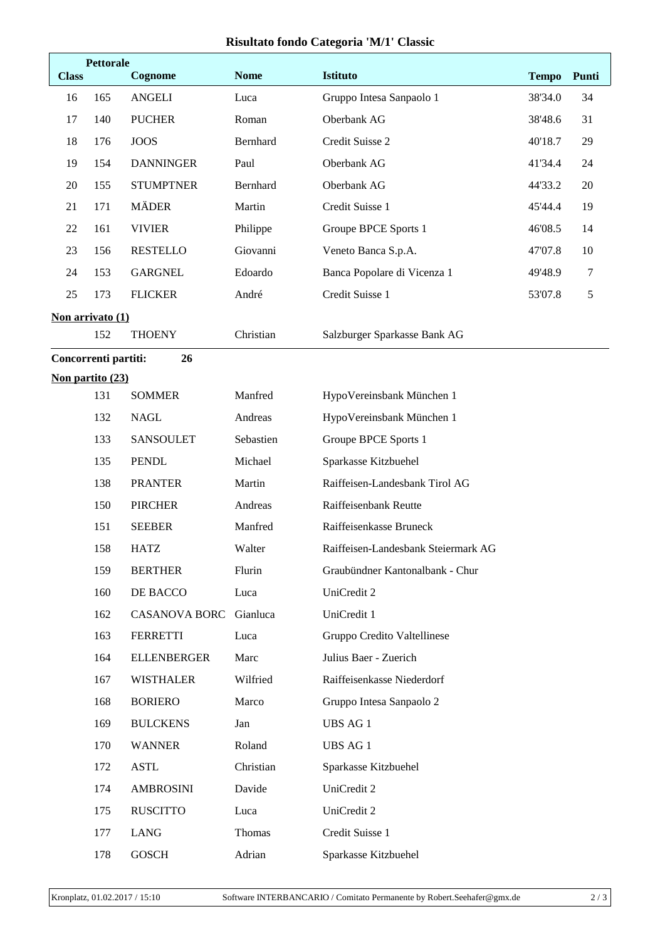## **Risultato fondo Categoria 'M/1' Classic**

| <b>Class</b>        | <b>Pettorale</b><br>Cognome       |                      | <b>Nome</b> | <b>Istituto</b>                     |                         | Punti |  |  |
|---------------------|-----------------------------------|----------------------|-------------|-------------------------------------|-------------------------|-------|--|--|
| 16                  | 165                               | <b>ANGELI</b>        | Luca        | Gruppo Intesa Sanpaolo 1            | <b>Tempo</b><br>38'34.0 | 34    |  |  |
| 17                  | 140                               | <b>PUCHER</b>        | Roman       | Oberbank AG                         | 38'48.6                 | 31    |  |  |
| 18                  | 176                               | <b>JOOS</b>          | Bernhard    | Credit Suisse 2                     | 40'18.7                 | 29    |  |  |
| 19                  | 154                               | <b>DANNINGER</b>     | Paul        | Oberbank AG                         | 41'34.4                 | 24    |  |  |
| 20                  | 155                               | <b>STUMPTNER</b>     | Bernhard    | Oberbank AG                         | 44'33.2                 | 20    |  |  |
| 21                  | 171                               | <b>MÄDER</b>         | Martin      | Credit Suisse 1                     | 45'44.4                 | 19    |  |  |
| 22                  | 161                               | <b>VIVIER</b>        | Philippe    | Groupe BPCE Sports 1                | 46'08.5                 | 14    |  |  |
| 23                  | 156                               | <b>RESTELLO</b>      | Giovanni    | Veneto Banca S.p.A.                 | 47'07.8                 | 10    |  |  |
| 24                  | 153                               | <b>GARGNEL</b>       | Edoardo     | Banca Popolare di Vicenza 1         | 49'48.9                 | 7     |  |  |
| 25                  | 173                               | <b>FLICKER</b>       | André       | Credit Suisse 1                     | 53'07.8                 | 5     |  |  |
|                     | Non arrivato (1)                  |                      |             |                                     |                         |       |  |  |
|                     | 152                               | <b>THOENY</b>        | Christian   | Salzburger Sparkasse Bank AG        |                         |       |  |  |
|                     | Concorrenti partiti:<br>26        |                      |             |                                     |                         |       |  |  |
|                     | Non partito (23)                  |                      |             |                                     |                         |       |  |  |
|                     | 131<br><b>SOMMER</b>              |                      | Manfred     | HypoVereinsbank München 1           |                         |       |  |  |
|                     | 132                               | <b>NAGL</b>          | Andreas     | HypoVereinsbank München 1           |                         |       |  |  |
|                     | 133                               | <b>SANSOULET</b>     | Sebastien   | Groupe BPCE Sports 1                |                         |       |  |  |
|                     | 135<br><b>PENDL</b>               |                      | Michael     | Sparkasse Kitzbuehel                |                         |       |  |  |
|                     | 138<br><b>PRANTER</b>             |                      | Martin      | Raiffeisen-Landesbank Tirol AG      |                         |       |  |  |
|                     | 150<br><b>PIRCHER</b>             |                      | Andreas     | Raiffeisenbank Reutte               |                         |       |  |  |
|                     | 151<br><b>SEEBER</b>              |                      | Manfred     | Raiffeisenkasse Bruneck             |                         |       |  |  |
|                     | 158<br><b>HATZ</b>                |                      | Walter      | Raiffeisen-Landesbank Steiermark AG |                         |       |  |  |
|                     | 159<br><b>BERTHER</b>             |                      | Flurin      | Graubündner Kantonalbank - Chur     |                         |       |  |  |
|                     | 160<br>DE BACCO                   |                      | Luca        | UniCredit 2                         |                         |       |  |  |
|                     | 162                               | <b>CASANOVA BORC</b> | Gianluca    | UniCredit 1                         |                         |       |  |  |
|                     | 163                               | <b>FERRETTI</b>      | Luca        | Gruppo Credito Valtellinese         |                         |       |  |  |
|                     | 164                               | <b>ELLENBERGER</b>   | Marc        | Julius Baer - Zuerich               |                         |       |  |  |
|                     | 167                               | <b>WISTHALER</b>     | Wilfried    | Raiffeisenkasse Niederdorf          |                         |       |  |  |
|                     | 168                               | <b>BORIERO</b>       | Marco       | Gruppo Intesa Sanpaolo 2            |                         |       |  |  |
|                     | 169                               | <b>BULCKENS</b>      | Jan         | UBS AG 1                            |                         |       |  |  |
|                     | 170                               | <b>WANNER</b>        | Roland      | <b>UBS AG 1</b>                     |                         |       |  |  |
|                     | <b>ASTL</b><br>172                |                      | Christian   | Sparkasse Kitzbuehel                |                         |       |  |  |
|                     | Davide<br>174<br><b>AMBROSINI</b> |                      |             | UniCredit 2                         |                         |       |  |  |
|                     | 175<br><b>RUSCITTO</b><br>Luca    |                      |             | UniCredit 2                         |                         |       |  |  |
|                     | 177<br><b>LANG</b>                |                      | Thomas      | Credit Suisse 1                     |                         |       |  |  |
| 178<br><b>GOSCH</b> |                                   |                      | Adrian      | Sparkasse Kitzbuehel                |                         |       |  |  |